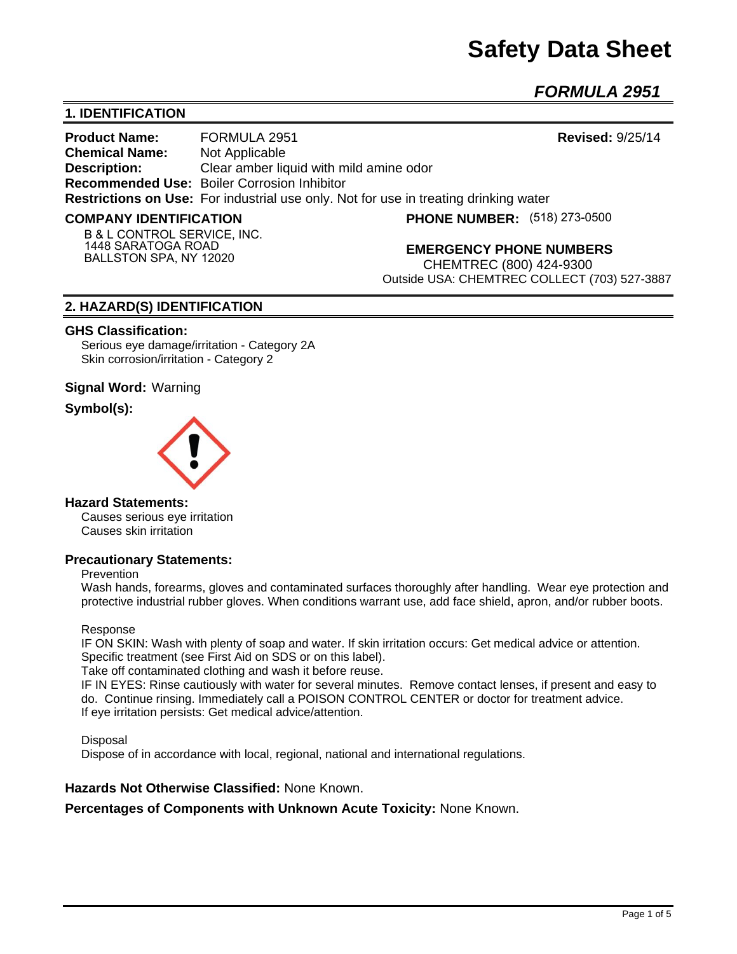# **Safety Data Sheet**

*FORMULA 2951* 

# **1. IDENTIFICATION**

**Product Name:** FORMULA 2951 **Revised:** 9/25/14 **Chemical Name:** Not Applicable **Description:** Clear amber liquid with mild amine odor **Recommended Use:** Boiler Corrosion Inhibitor **Restrictions on Use:** For industrial use only. Not for use in treating drinking water

#### **COMPANY IDENTIFICATION**

**(518) 273-0500**

**B & L CONTROL SERVICE, INC. 1448 SARATOGA ROAD BALLSTON SPA, NY 12020**

**EMERGENCY PHONE NUMBERS**

CHEMTREC (800) 424-9300 Outside USA: CHEMTREC COLLECT (703) 527-3887

# **2. HAZARD(S) IDENTIFICATION**

### **GHS Classification:**

Serious eye damage/irritation - Category 2A Skin corrosion/irritation - Category 2

# **Signal Word:** Warning

# **Symbol(s):**



# **Hazard Statements:**

Causes serious eye irritation Causes skin irritation

# **Precautionary Statements:**

#### Prevention

Wash hands, forearms, gloves and contaminated surfaces thoroughly after handling. Wear eye protection and protective industrial rubber gloves. When conditions warrant use, add face shield, apron, and/or rubber boots.

#### Response

IF ON SKIN: Wash with plenty of soap and water. If skin irritation occurs: Get medical advice or attention. Specific treatment (see First Aid on SDS or on this label).

Take off contaminated clothing and wash it before reuse.

IF IN EYES: Rinse cautiously with water for several minutes. Remove contact lenses, if present and easy to do. Continue rinsing. Immediately call a POISON CONTROL CENTER or doctor for treatment advice. If eye irritation persists: Get medical advice/attention.

**Disposal** 

Dispose of in accordance with local, regional, national and international regulations.

# **Hazards Not Otherwise Classified:** None Known.

**Percentages of Components with Unknown Acute Toxicity:** None Known.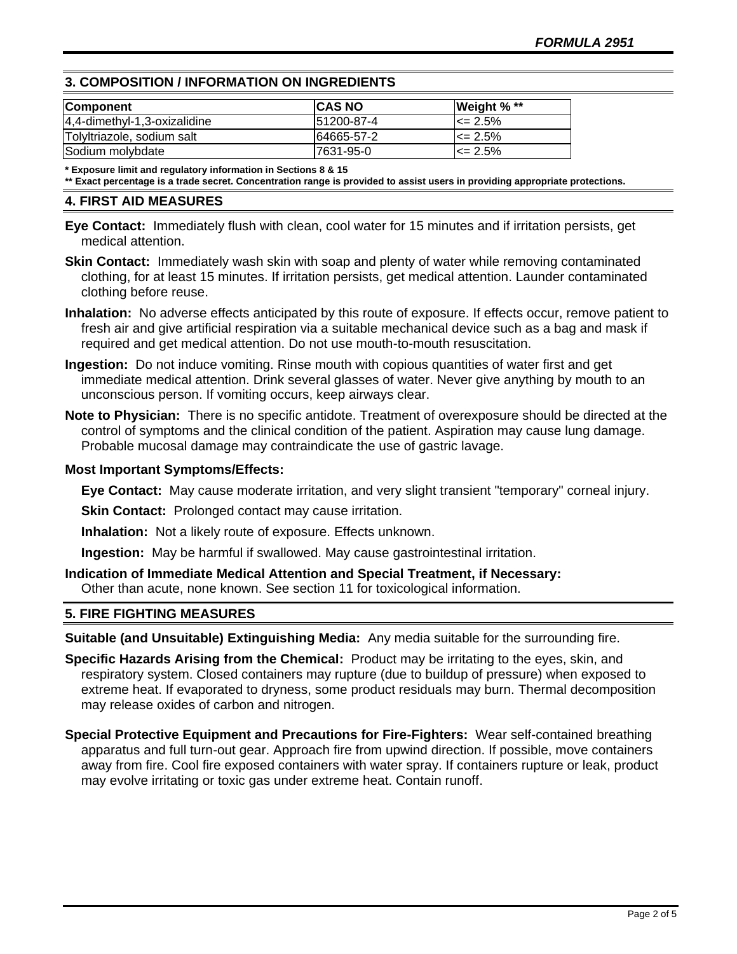# **3. COMPOSITION / INFORMATION ON INGREDIENTS**

| <b>Component</b>             | <b>ICAS NO</b> | Weight % **   |
|------------------------------|----------------|---------------|
| 4,4-dimethyl-1,3-oxizalidine | 151200-87-4    | $\leq$ 2.5%   |
| Tolyltriazole, sodium salt   | 64665-57-2     | $\leq$ 2.5%   |
| Sodium molybdate             | 7631-95-0      | $I \le 2.5\%$ |

**\* Exposure limit and regulatory information in Sections 8 & 15**

**\*\* Exact percentage is a trade secret. Concentration range is provided to assist users in providing appropriate protections.**

# **4. FIRST AID MEASURES**

**Eye Contact:** Immediately flush with clean, cool water for 15 minutes and if irritation persists, get medical attention.

- **Skin Contact:** Immediately wash skin with soap and plenty of water while removing contaminated clothing, for at least 15 minutes. If irritation persists, get medical attention. Launder contaminated clothing before reuse.
- **Inhalation:** No adverse effects anticipated by this route of exposure. If effects occur, remove patient to fresh air and give artificial respiration via a suitable mechanical device such as a bag and mask if required and get medical attention. Do not use mouth-to-mouth resuscitation.
- **Ingestion:** Do not induce vomiting. Rinse mouth with copious quantities of water first and get immediate medical attention. Drink several glasses of water. Never give anything by mouth to an unconscious person. If vomiting occurs, keep airways clear.
- **Note to Physician:** There is no specific antidote. Treatment of overexposure should be directed at the control of symptoms and the clinical condition of the patient. Aspiration may cause lung damage. Probable mucosal damage may contraindicate the use of gastric lavage.

# **Most Important Symptoms/Effects:**

**Eye Contact:** May cause moderate irritation, and very slight transient "temporary" corneal injury.

**Skin Contact:** Prolonged contact may cause irritation.

**Inhalation:** Not a likely route of exposure. Effects unknown.

**Ingestion:** May be harmful if swallowed. May cause gastrointestinal irritation.

**Indication of Immediate Medical Attention and Special Treatment, if Necessary:** Other than acute, none known. See section 11 for toxicological information.

# **5. FIRE FIGHTING MEASURES**

**Suitable (and Unsuitable) Extinguishing Media:** Any media suitable for the surrounding fire.

- **Specific Hazards Arising from the Chemical:** Product may be irritating to the eyes, skin, and respiratory system. Closed containers may rupture (due to buildup of pressure) when exposed to extreme heat. If evaporated to dryness, some product residuals may burn. Thermal decomposition may release oxides of carbon and nitrogen.
- **Special Protective Equipment and Precautions for Fire-Fighters:** Wear self-contained breathing apparatus and full turn-out gear. Approach fire from upwind direction. If possible, move containers away from fire. Cool fire exposed containers with water spray. If containers rupture or leak, product may evolve irritating or toxic gas under extreme heat. Contain runoff.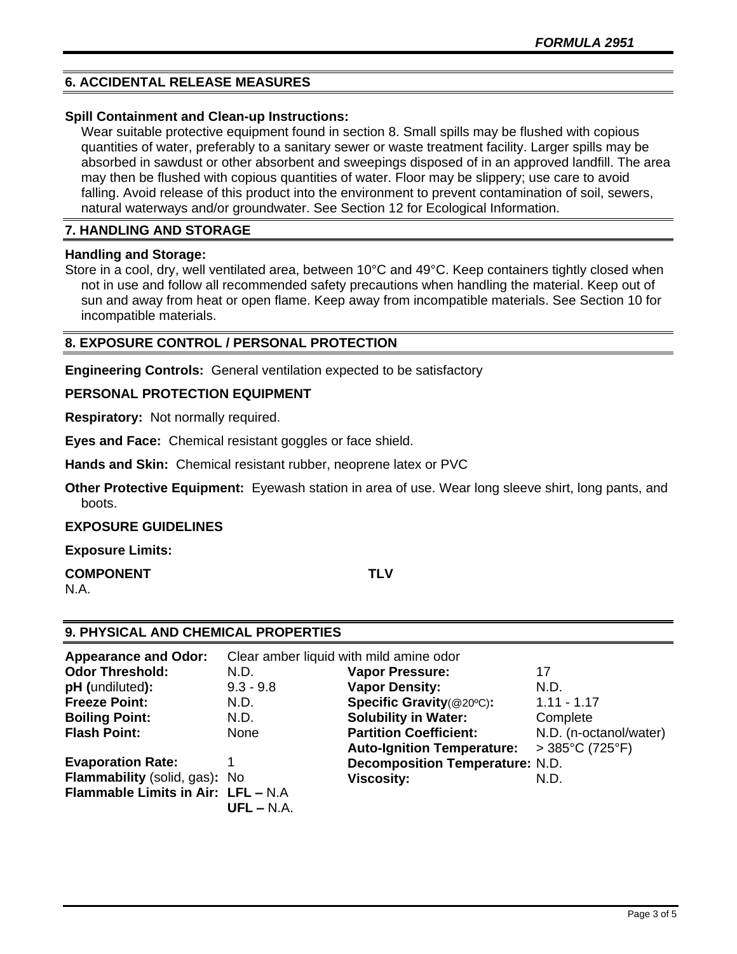# **6. ACCIDENTAL RELEASE MEASURES**

# **Spill Containment and Clean-up Instructions:**

Wear suitable protective equipment found in section 8. Small spills may be flushed with copious quantities of water, preferably to a sanitary sewer or waste treatment facility. Larger spills may be absorbed in sawdust or other absorbent and sweepings disposed of in an approved landfill. The area may then be flushed with copious quantities of water. Floor may be slippery; use care to avoid falling. Avoid release of this product into the environment to prevent contamination of soil, sewers, natural waterways and/or groundwater. See Section 12 for Ecological Information.

# **7. HANDLING AND STORAGE**

### **Handling and Storage:**

Store in a cool, dry, well ventilated area, between 10°C and 49°C. Keep containers tightly closed when not in use and follow all recommended safety precautions when handling the material. Keep out of sun and away from heat or open flame. Keep away from incompatible materials. See Section 10 for incompatible materials.

# **8. EXPOSURE CONTROL / PERSONAL PROTECTION**

**Engineering Controls:** General ventilation expected to be satisfactory

# **PERSONAL PROTECTION EQUIPMENT**

**Respiratory:** Not normally required.

**Eyes and Face:** Chemical resistant goggles or face shield.

**Hands and Skin:** Chemical resistant rubber, neoprene latex or PVC

**Other Protective Equipment:** Eyewash station in area of use. Wear long sleeve shirt, long pants, and boots.

### **EXPOSURE GUIDELINES**

**Exposure Limits:** 

#### **COMPONENT TLV** N.A.

# **9. PHYSICAL AND CHEMICAL PROPERTIES**

| <b>Appearance and Odor:</b>        | Clear amber liquid with mild amine odor |                                        |                                     |
|------------------------------------|-----------------------------------------|----------------------------------------|-------------------------------------|
| <b>Odor Threshold:</b>             | N.D.                                    | <b>Vapor Pressure:</b>                 | 17                                  |
| pH (undiluted):                    | $9.3 - 9.8$                             | <b>Vapor Density:</b>                  | N.D.                                |
| <b>Freeze Point:</b>               | N.D.                                    | Specific Gravity(@20°C):               | $1.11 - 1.17$                       |
| <b>Boiling Point:</b>              | N.D.                                    | <b>Solubility in Water:</b>            | Complete                            |
| <b>Flash Point:</b>                | None                                    | <b>Partition Coefficient:</b>          | N.D. (n-octanol/water)              |
|                                    |                                         | <b>Auto-Ignition Temperature:</b>      | $>385^{\circ}$ C (725 $^{\circ}$ F) |
| <b>Evaporation Rate:</b>           |                                         | <b>Decomposition Temperature: N.D.</b> |                                     |
| Flammability (solid, gas): No      |                                         | <b>Viscosity:</b>                      | N.D.                                |
| Flammable Limits in Air: LFL - N.A |                                         |                                        |                                     |
|                                    | $UFL - N.A.$                            |                                        |                                     |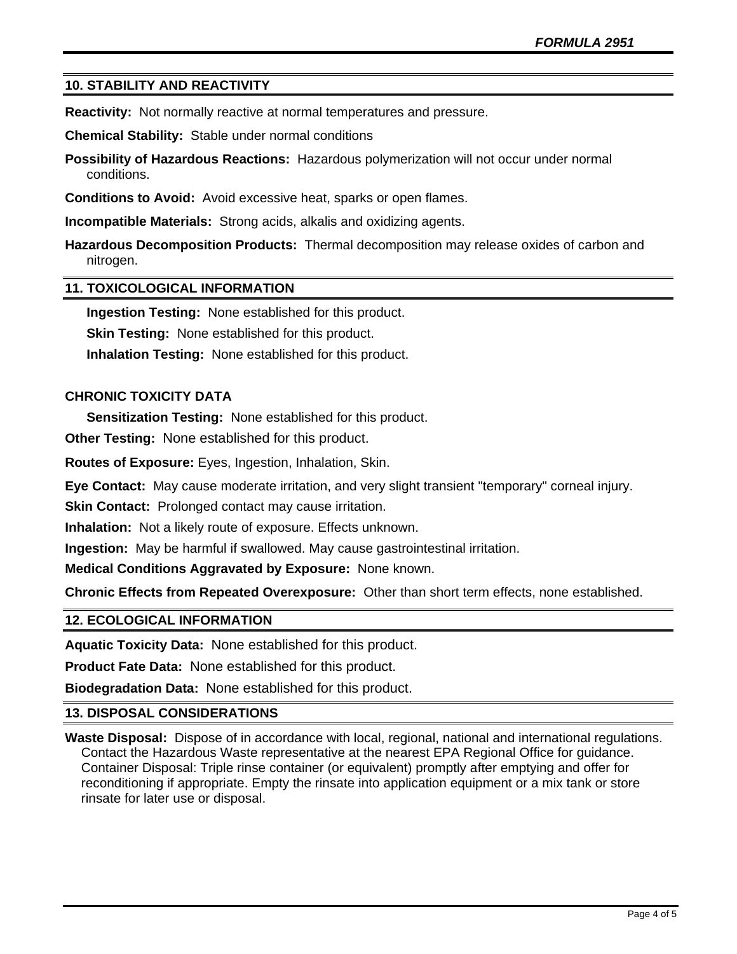# **10. STABILITY AND REACTIVITY**

**Reactivity:** Not normally reactive at normal temperatures and pressure.

**Chemical Stability:** Stable under normal conditions

**Possibility of Hazardous Reactions:** Hazardous polymerization will not occur under normal conditions.

**Conditions to Avoid:** Avoid excessive heat, sparks or open flames.

**Incompatible Materials:** Strong acids, alkalis and oxidizing agents.

**Hazardous Decomposition Products:** Thermal decomposition may release oxides of carbon and nitrogen.

### **11. TOXICOLOGICAL INFORMATION**

**Ingestion Testing:** None established for this product.

**Skin Testing:** None established for this product.

**Inhalation Testing:** None established for this product.

# **CHRONIC TOXICITY DATA**

**Sensitization Testing:** None established for this product.

**Other Testing:** None established for this product.

**Routes of Exposure:** Eyes, Ingestion, Inhalation, Skin.

**Eye Contact:** May cause moderate irritation, and very slight transient "temporary" corneal injury.

**Skin Contact:** Prolonged contact may cause irritation.

**Inhalation:** Not a likely route of exposure. Effects unknown.

**Ingestion:** May be harmful if swallowed. May cause gastrointestinal irritation.

**Medical Conditions Aggravated by Exposure:** None known.

**Chronic Effects from Repeated Overexposure:** Other than short term effects, none established.

# **12. ECOLOGICAL INFORMATION**

**Aquatic Toxicity Data:** None established for this product.

**Product Fate Data:** None established for this product.

**Biodegradation Data:** None established for this product.

# **13. DISPOSAL CONSIDERATIONS**

**Waste Disposal:** Dispose of in accordance with local, regional, national and international regulations. Contact the Hazardous Waste representative at the nearest EPA Regional Office for guidance. Container Disposal: Triple rinse container (or equivalent) promptly after emptying and offer for reconditioning if appropriate. Empty the rinsate into application equipment or a mix tank or store rinsate for later use or disposal.